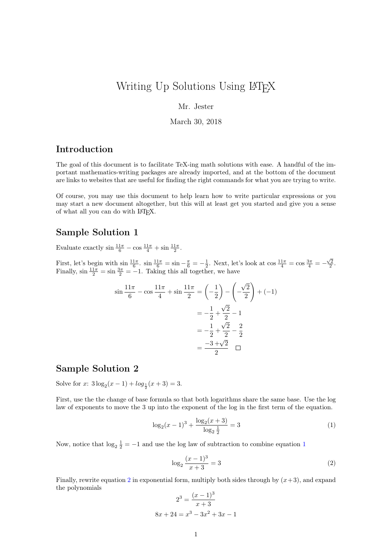# Writing Up Solutions Using LATEX

Mr. Jester

March 30, 2018

#### Introduction

The goal of this document is to facilitate TeX-ing math solutions with ease. A handful of the important mathematics-writing packages are already imported, and at the bottom of the document are links to websites that are useful for finding the right commands for what you are trying to write.

Of course, you may use this document to help learn how to write particular expressions or you may start a new document altogether, but this will at least get you started and give you a sense of what all you can do with LATEX.

#### Sample Solution 1

Evaluate exactly  $\sin \frac{11\pi}{6} - \cos \frac{11\pi}{4} + \sin \frac{11\pi}{2}$ .

First, let's begin with  $\sin \frac{11\pi}{6}$ .  $\sin \frac{11\pi}{6} = \sin - \frac{\pi}{6} = -\frac{1}{2}$ . Next, let's look at  $\cos \frac{11\pi}{4} = \cos \frac{3\pi}{4} = -\frac{\sqrt{2}}{2}$ . Finally,  $\sin \frac{11\pi}{2} = \sin \frac{3\pi}{2} = -1$ . Taking this all together, we have

$$
\sin\frac{11\pi}{6} - \cos\frac{11\pi}{4} + \sin\frac{11\pi}{2} = \left(-\frac{1}{2}\right) - \left(-\frac{\sqrt{2}}{2}\right) + (-1) \\
= -\frac{1}{2} + \frac{\sqrt{2}}{2} - 1 \\
= -\frac{1}{2} + \frac{\sqrt{2}}{2} - \frac{2}{2} \\
= \frac{-3 + \sqrt{2}}{2} \quad \Box
$$

### Sample Solution 2

Solve for x:  $3\log_2(x-1) + \log_{\frac{1}{2}}(x+3) = 3.$ 

First, use the the change of base formula so that both logarithms share the same base. Use the log law of exponents to move the 3 up into the exponent of the log in the first term of the equation.

<span id="page-0-0"></span>
$$
\log_2(x-1)^3 + \frac{\log_2(x+3)}{\log_2\frac{1}{2}} = 3\tag{1}
$$

Now, notice that  $\log_2 \frac{1}{2} = -1$  $\log_2 \frac{1}{2} = -1$  $\log_2 \frac{1}{2} = -1$  and use the log law of subtraction to combine equation 1

 $8x$ 

<span id="page-0-1"></span>
$$
\log_2 \frac{(x-1)^3}{x+3} = 3\tag{2}
$$

Finally, rewrite equation [2](#page-0-1) in exponential form, multiply both sides through by  $(x+3)$ , and expand the polynomials

$$
2^{3} = \frac{(x-1)^{3}}{x+3}
$$

$$
+ 24 = x^{3} - 3x^{2} + 3x - 1
$$